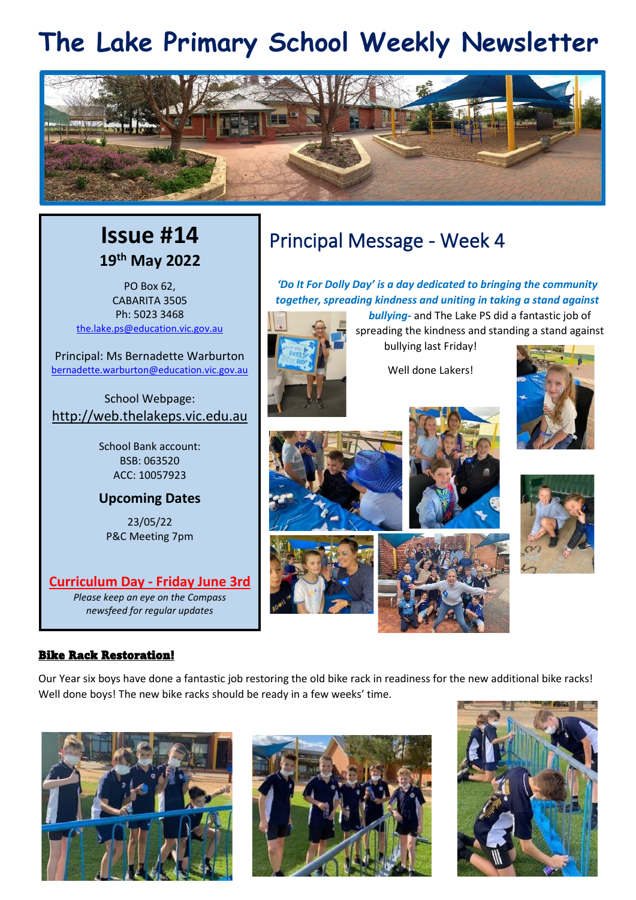# **The Lake Primary School Weekly Newsletter**



## **Issue #14 19th May 2022**

PO Box 62, CABARITA 3505 Ph: 5023 3468 [the.lake.ps@education.vic.gov.au](mailto:the.lake.ps@education.vic.gov.au)

Principal: Ms Bernadette Warburton [bernadette.warburton@education.vic.gov.au](mailto:bernadette.warburton@education.vic.gov.au)

School Webpage: [http://web.thelakeps.vic.edu.au](http://web.thelakeps.vic.edu.au/)

> School Bank account: BSB: 063520 ACC: 10057923

#### **Upcoming Dates**

23/05/22 P&C Meeting 7pm

**Curriculum Day - Friday June 3rd** *Please keep an eye on the Compass newsfeed for regular updates*

#### Bike Rack Restoration!

Principal Message - Week 4

*'Do It For Dolly Day' is a day dedicated to bringing the community together, spreading kindness and uniting in taking a stand against bullying-* and The Lake PS did a fantastic job of



spreading the kindness and standing a stand against bullying last Friday!

Well done Lakers!





Our Year six boys have done a fantastic job restoring the old bike rack in readiness for the new additional bike racks! Well done boys! The new bike racks should be ready in a few weeks' time.





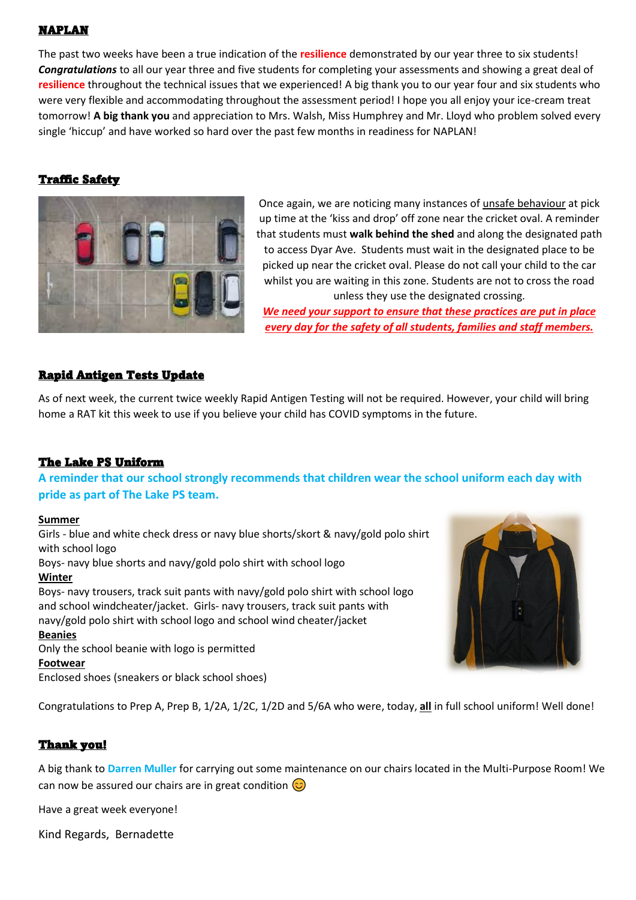#### NAPLAN

The past two weeks have been a true indication of the **resilience** demonstrated by our year three to six students! *Congratulations* to all our year three and five students for completing your assessments and showing a great deal of **resilience** throughout the technical issues that we experienced! A big thank you to our year four and six students who were very flexible and accommodating throughout the assessment period! I hope you all enjoy your ice-cream treat tomorrow! **A big thank you** and appreciation to Mrs. Walsh, Miss Humphrey and Mr. Lloyd who problem solved every single 'hiccup' and have worked so hard over the past few months in readiness for NAPLAN!

#### Traffic Safety



Once again, we are noticing many instances of unsafe behaviour at pick up time at the 'kiss and drop' off zone near the cricket oval. A reminder that students must **walk behind the shed** and along the designated path to access Dyar Ave. Students must wait in the designated place to be picked up near the cricket oval. Please do not call your child to the car whilst you are waiting in this zone. Students are not to cross the road unless they use the designated crossing.

*We need your support to ensure that these practices are put in place every day for the safety of all students, families and staff members.*

#### Rapid Antigen Tests Update

As of next week, the current twice weekly Rapid Antigen Testing will not be required. However, your child will bring home a RAT kit this week to use if you believe your child has COVID symptoms in the future.

#### The Lake PS Uniform

**A reminder that our school strongly recommends that children wear the school uniform each day with pride as part of The Lake PS team.**

#### **Summer**

Girls - blue and white check dress or navy blue shorts/skort & navy/gold polo shirt with school logo Boys- navy blue shorts and navy/gold polo shirt with school logo **Winter** Boys- navy trousers, track suit pants with navy/gold polo shirt with school logo and school windcheater/jacket. Girls- navy trousers, track suit pants with navy/gold polo shirt with school logo and school wind cheater/jacket **Beanies** Only the school beanie with logo is permitted **Footwear** Enclosed shoes (sneakers or black school shoes)



Congratulations to Prep A, Prep B, 1/2A, 1/2C, 1/2D and 5/6A who were, today, **all** in full school uniform! Well done!

#### Thank you!

A big thank to **Darren Muller** for carrying out some maintenance on our chairs located in the Multi-Purpose Room! We can now be assured our chairs are in great condition  $\circled{c}$ 

Have a great week everyone!

Kind Regards, Bernadette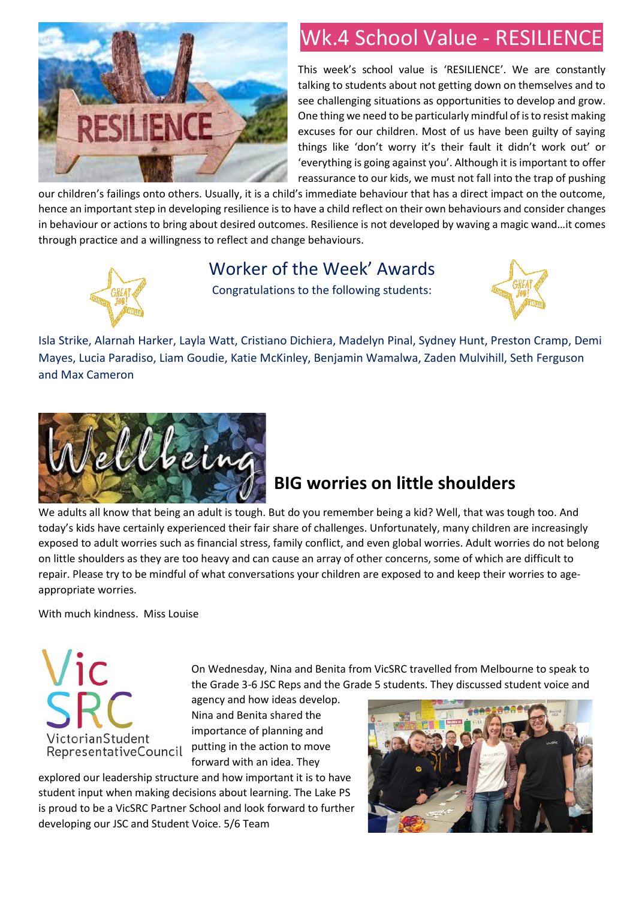

## Wk.4 School Value - RESILIENCE

This week's school value is 'RESILIENCE'. We are constantly talking to students about not getting down on themselves and to see challenging situations as opportunities to develop and grow. One thing we need to be particularly mindful of is to resist making excuses for our children. Most of us have been guilty of saying things like 'don't worry it's their fault it didn't work out' or 'everything is going against you'. Although it is important to offer reassurance to our kids, we must not fall into the trap of pushing

our children's failings onto others. Usually, it is a child's immediate behaviour that has a direct impact on the outcome, hence an important step in developing resilience is to have a child reflect on their own behaviours and consider changes in behaviour or actions to bring about desired outcomes. Resilience is not developed by waving a magic wand…it comes through practice and a willingness to reflect and change behaviours.



### Worker of the Week' Awards

Congratulations to the following students:



Isla Strike, Alarnah Harker, Layla Watt, Cristiano Dichiera, Madelyn Pinal, Sydney Hunt, Preston Cramp, Demi Mayes, Lucia Paradiso, Liam Goudie, Katie McKinley, Benjamin Wamalwa, Zaden Mulvihill, Seth Ferguson and Max Cameron



## **BIG worries on little shoulders**

We adults all know that being an adult is tough. But do you remember being a kid? Well, that was tough too. And today's kids have certainly experienced their fair share of challenges. Unfortunately, many children are increasingly exposed to adult worries such as financial stress, family conflict, and even global worries. Adult worries do not belong on little shoulders as they are too heavy and can cause an array of other concerns, some of which are difficult to repair. Please try to be mindful of what conversations your children are exposed to and keep their worries to ageappropriate worries.

With much kindness. Miss Louise



On Wednesday, Nina and Benita from VicSRC travelled from Melbourne to speak to the Grade 3-6 JSC Reps and the Grade 5 students. They discussed student voice and

agency and how ideas develop. Nina and Benita shared the importance of planning and putting in the action to move forward with an idea. They

explored our leadership structure and how important it is to have student input when making decisions about learning. The Lake PS is proud to be a VicSRC Partner School and look forward to further developing our JSC and Student Voice. 5/6 Team